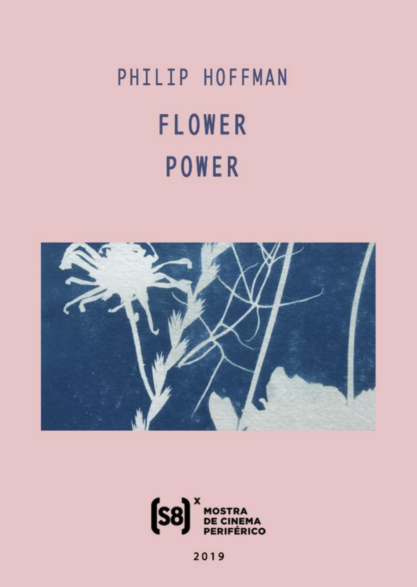# PHILIP HOFFMAN **FLOWER** POWER





2019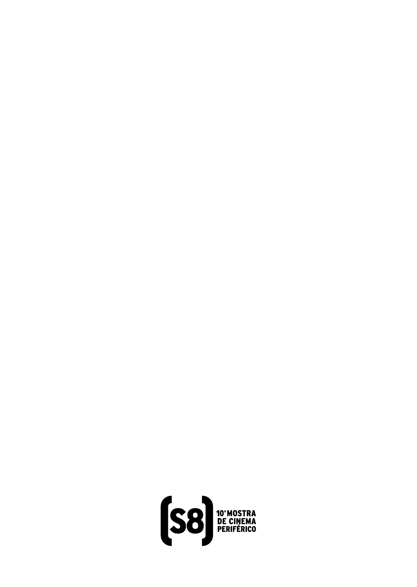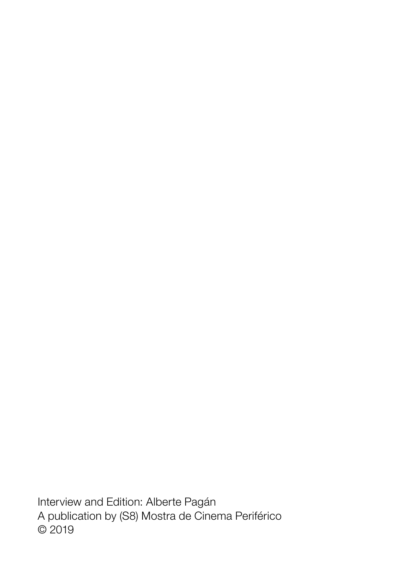Interview and Edition: Alberte Pagán A publication by (S8) Mostra de Cinema Periférico © 2019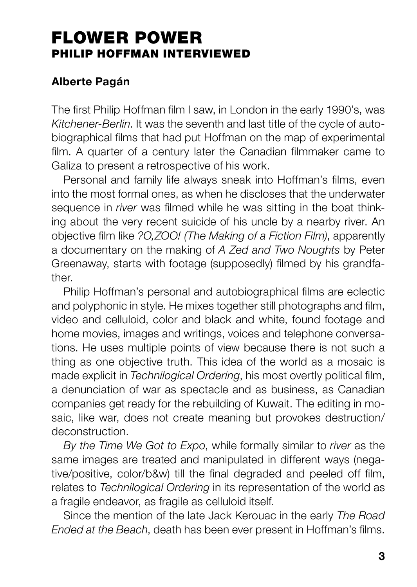# FLOWER POWER PHILIP HOFFMAN INTERVIEWED

# Alberte Pagán

The first Philip Hoffman film I saw, in London in the early 1990's, was Kitchener-Berlin. It was the seventh and last title of the cycle of autobiographical films that had put Hoffman on the map of experimental film. A quarter of a century later the Canadian filmmaker came to Galiza to present a retrospective of his work.

Personal and family life always sneak into Hoffman's films, even into the most formal ones, as when he discloses that the underwater sequence in *river* was filmed while he was sitting in the boat thinking about the very recent suicide of his uncle by a nearby river. An objective film like ?O,ZOO! (The Making of a Fiction Film), apparently a documentary on the making of A Zed and Two Noughts by Peter Greenaway, starts with footage (supposedly) filmed by his grandfather.

Philip Hoffman's personal and autobiographical films are eclectic and polyphonic in style. He mixes together still photographs and film, video and celluloid, color and black and white, found footage and home movies, images and writings, voices and telephone conversations. He uses multiple points of view because there is not such a thing as one objective truth. This idea of the world as a mosaic is made explicit in Technilogical Ordering, his most overtly political film, a denunciation of war as spectacle and as business, as Canadian companies get ready for the rebuilding of Kuwait. The editing in mosaic, like war, does not create meaning but provokes destruction/ deconstruction.

By the Time We Got to Expo, while formally similar to river as the same images are treated and manipulated in different ways (negative/positive, color/b&w) till the final degraded and peeled off film, relates to Technilogical Ordering in its representation of the world as a fragile endeavor, as fragile as celluloid itself.

Since the mention of the late Jack Kerouac in the early The Road Ended at the Beach, death has been ever present in Hoffman's films.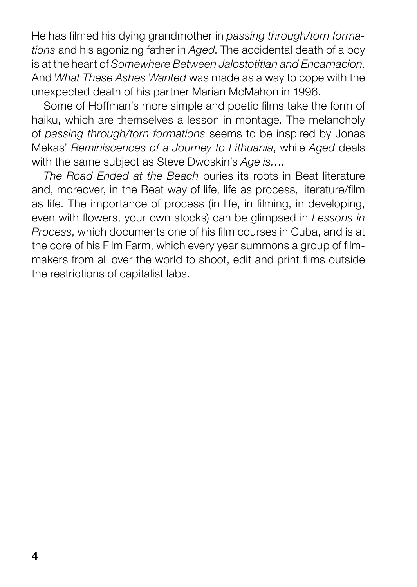He has filmed his dying grandmother in passing through/torn formations and his agonizing father in Aged. The accidental death of a boy is at the heart of Somewhere Between Jalostotitlan and Encarnacion. And What These Ashes Wanted was made as a way to cope with the unexpected death of his partner Marian McMahon in 1996.

Some of Hoffman's more simple and poetic films take the form of haiku, which are themselves a lesson in montage. The melancholy of passing through/torn formations seems to be inspired by Jonas Mekas' Reminiscences of a Journey to Lithuania, while Aged deals with the same subject as Steve Dwoskin's Age is....

The Road Ended at the Beach buries its roots in Beat literature and, moreover, in the Beat way of life, life as process, literature/film as life. The importance of process (in life, in filming, in developing, even with flowers, your own stocks) can be glimpsed in Lessons in Process, which documents one of his film courses in Cuba, and is at the core of his Film Farm, which every year summons a group of filmmakers from all over the world to shoot, edit and print films outside the restrictions of capitalist labs.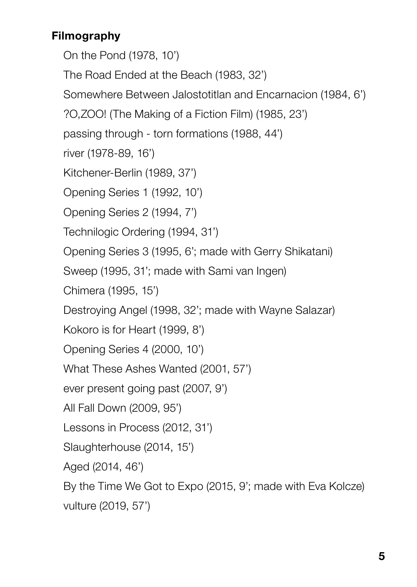# Filmography

On the Pond (1978, 10') The Road Ended at the Beach (1983, 32') Somewhere Between Jalostotitlan and Encarnacion (1984, 6') ?O,ZOO! (The Making of a Fiction Film) (1985, 23') passing through - torn formations (1988, 44') river (1978-89, 16') Kitchener-Berlin (1989, 37') Opening Series 1 (1992, 10') Opening Series 2 (1994, 7') Technilogic Ordering (1994, 31') Opening Series 3 (1995, 6'; made with Gerry Shikatani) Sweep (1995, 31'; made with Sami van Ingen) Chimera (1995, 15') Destroying Angel (1998, 32'; made with Wayne Salazar) Kokoro is for Heart (1999, 8') Opening Series 4 (2000, 10') What These Ashes Wanted (2001, 57') ever present going past (2007, 9') All Fall Down (2009, 95') Lessons in Process (2012, 31') Slaughterhouse (2014, 15') Aged (2014, 46') By the Time We Got to Expo (2015, 9'; made with Eva Kolcze)

vulture (2019, 57')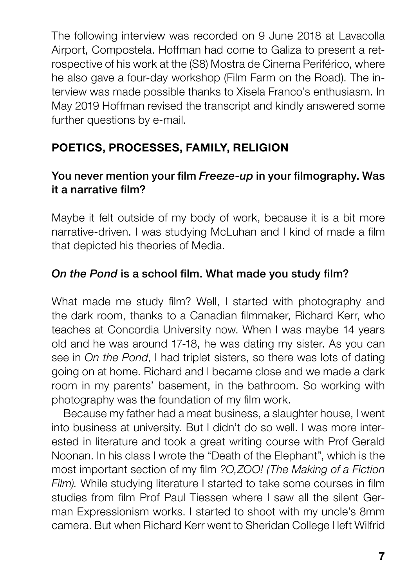The following interview was recorded on 9 June 2018 at Lavacolla Airport, Compostela. Hoffman had come to Galiza to present a retrospective of his work at the (S8) Mostra de Cinema Periférico, where he also gave a four-day workshop (Film Farm on the Road). The interview was made possible thanks to Xisela Franco's enthusiasm. In May 2019 Hoffman revised the transcript and kindly answered some further questions by e-mail.

# POETICS, PROCESSES, FAMILY, RELIGION

# You never mention your film Freeze-up in your filmography. Was it a narrative film?

Maybe it felt outside of my body of work, because it is a bit more narrative-driven. I was studying McLuhan and I kind of made a film that depicted his theories of Media.

# On the Pond is a school film. What made you study film?

What made me study film? Well, I started with photography and the dark room, thanks to a Canadian filmmaker, Richard Kerr, who teaches at Concordia University now. When I was maybe 14 years old and he was around 17-18, he was dating my sister. As you can see in On the Pond. I had triplet sisters, so there was lots of dating going on at home. Richard and I became close and we made a dark room in my parents' basement, in the bathroom. So working with photography was the foundation of my film work.

Because my father had a meat business, a slaughter house, I went into business at university. But I didn't do so well. I was more interested in literature and took a great writing course with Prof Gerald Noonan. In his class I wrote the "Death of the Elephant", which is the most important section of my film ?O,ZOO! (The Making of a Fiction Film). While studying literature I started to take some courses in film studies from film Prof Paul Tiessen where I saw all the silent German Expressionism works. I started to shoot with my uncle's 8mm camera. But when Richard Kerr went to Sheridan College I left Wilfrid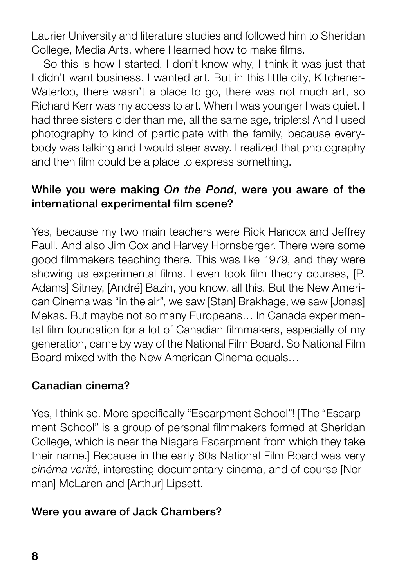Laurier University and literature studies and followed him to Sheridan College, Media Arts, where I learned how to make films.

So this is how I started. I don't know why, I think it was just that I didn't want business. I wanted art. But in this little city, Kitchener-Waterloo, there wasn't a place to go, there was not much art, so Richard Kerr was my access to art. When I was younger I was quiet. I had three sisters older than me, all the same age, triplets! And I used photography to kind of participate with the family, because everybody was talking and I would steer away. I realized that photography and then film could be a place to express something.

#### While you were making On the Pond, were you aware of the international experimental film scene?

Yes, because my two main teachers were Rick Hancox and Jeffrey Paull. And also Jim Cox and Harvey Hornsberger. There were some good filmmakers teaching there. This was like 1979, and they were showing us experimental films. I even took film theory courses, [P. Adams] Sitney, [André] Bazin, you know, all this. But the New American Cinema was "in the air", we saw [Stan] Brakhage, we saw [Jonas] Mekas. But maybe not so many Europeans… In Canada experimental film foundation for a lot of Canadian filmmakers, especially of my generation, came by way of the National Film Board. So National Film Board mixed with the New American Cinema equals…

#### Canadian cinema?

Yes, I think so. More specifically "Escarpment School"! [The "Escarpment School" is a group of personal filmmakers formed at Sheridan College, which is near the Niagara Escarpment from which they take their name.] Because in the early 60s National Film Board was very cinéma verité, interesting documentary cinema, and of course [Norman] McLaren and [Arthur] Lipsett.

#### Were you aware of Jack Chambers?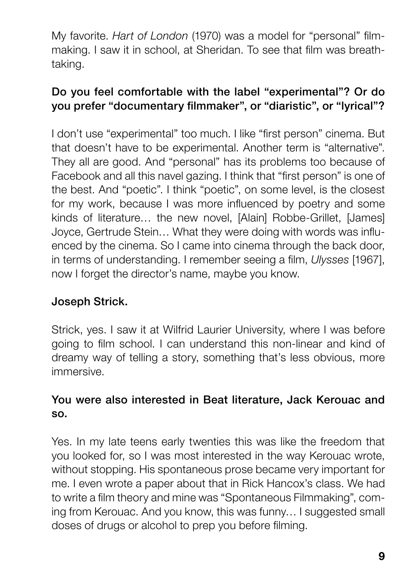My favorite. Hart of London (1970) was a model for "personal" filmmaking. I saw it in school, at Sheridan. To see that film was breathtaking.

# Do you feel comfortable with the label "experimental"? Or do you prefer "documentary filmmaker", or "diaristic", or "lyrical"?

I don't use "experimental" too much. I like "first person" cinema. But that doesn't have to be experimental. Another term is "alternative". They all are good. And "personal" has its problems too because of Facebook and all this navel gazing. I think that "first person" is one of the best. And "poetic". I think "poetic", on some level, is the closest for my work, because I was more influenced by poetry and some kinds of literature… the new novel, [Alain] Robbe-Grillet, [James] Joyce, Gertrude Stein… What they were doing with words was influenced by the cinema. So I came into cinema through the back door, in terms of understanding. I remember seeing a film, Ulysses [1967], now I forget the director's name, maybe you know.

# Joseph Strick.

Strick, yes. I saw it at Wilfrid Laurier University, where I was before going to film school. I can understand this non-linear and kind of dreamy way of telling a story, something that's less obvious, more immersive.

#### You were also interested in Beat literature, Jack Kerouac and so.

Yes. In my late teens early twenties this was like the freedom that you looked for, so I was most interested in the way Kerouac wrote, without stopping. His spontaneous prose became very important for me. I even wrote a paper about that in Rick Hancox's class. We had to write a film theory and mine was "Spontaneous Filmmaking", coming from Kerouac. And you know, this was funny… I suggested small doses of drugs or alcohol to prep you before filming.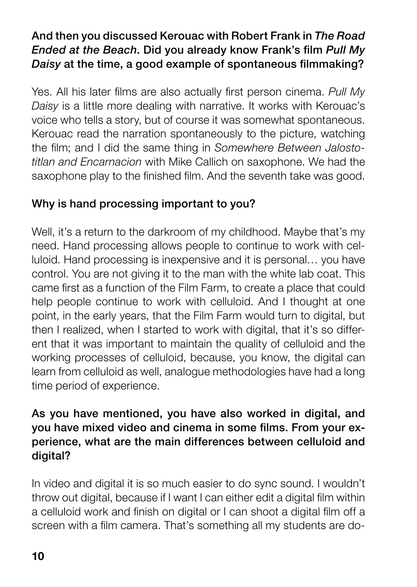# And then you discussed Kerouac with Robert Frank in The Road Ended at the Beach. Did you already know Frank's film Pull My Daisy at the time, a good example of spontaneous filmmaking?

Yes. All his later films are also actually first person cinema. Pull My Daisy is a little more dealing with narrative. It works with Kerouac's voice who tells a story, but of course it was somewhat spontaneous. Kerouac read the narration spontaneously to the picture, watching the film; and I did the same thing in Somewhere Between Jalostotitlan and Encarnacion with Mike Callich on saxophone. We had the saxophone play to the finished film. And the seventh take was good.

# Why is hand processing important to you?

Well, it's a return to the darkroom of my childhood. Maybe that's my need. Hand processing allows people to continue to work with celluloid. Hand processing is inexpensive and it is personal… you have control. You are not giving it to the man with the white lab coat. This came first as a function of the Film Farm, to create a place that could help people continue to work with celluloid. And I thought at one point, in the early years, that the Film Farm would turn to digital, but then I realized, when I started to work with digital, that it's so different that it was important to maintain the quality of celluloid and the working processes of celluloid, because, you know, the digital can learn from celluloid as well, analogue methodologies have had a long time period of experience.

### As you have mentioned, you have also worked in digital, and you have mixed video and cinema in some films. From your experience, what are the main differences between celluloid and digital?

In video and digital it is so much easier to do sync sound. I wouldn't throw out digital, because if I want I can either edit a digital film within a celluloid work and finish on digital or I can shoot a digital film off a screen with a film camera. That's something all my students are do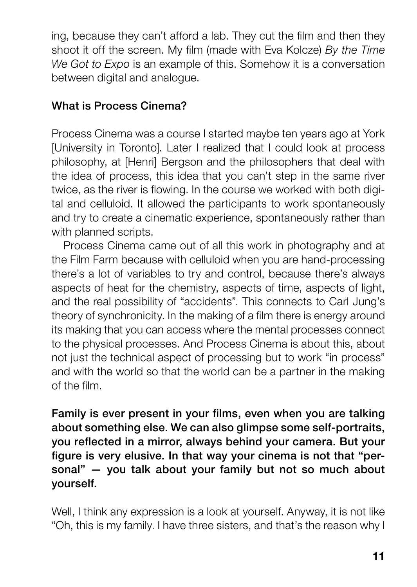ing, because they can't afford a lab. They cut the film and then they shoot it off the screen. My film (made with Eva Kolcze) By the Time We Got to Expo is an example of this. Somehow it is a conversation between digital and analogue.

# What is Process Cinema?

Process Cinema was a course I started maybe ten years ago at York [University in Toronto]. Later I realized that I could look at process philosophy, at [Henri] Bergson and the philosophers that deal with the idea of process, this idea that you can't step in the same river twice, as the river is flowing. In the course we worked with both digital and celluloid. It allowed the participants to work spontaneously and try to create a cinematic experience, spontaneously rather than with planned scripts.

Process Cinema came out of all this work in photography and at the Film Farm because with celluloid when you are hand-processing there's a lot of variables to try and control, because there's always aspects of heat for the chemistry, aspects of time, aspects of light, and the real possibility of "accidents". This connects to Carl Jung's theory of synchronicity. In the making of a film there is energy around its making that you can access where the mental processes connect to the physical processes. And Process Cinema is about this, about not just the technical aspect of processing but to work "in process" and with the world so that the world can be a partner in the making of the film.

Family is ever present in your films, even when you are talking about something else. We can also glimpse some self-portraits, you reflected in a mirror, always behind your camera. But your figure is very elusive. In that way your cinema is not that "personal" — you talk about your family but not so much about yourself.

Well, I think any expression is a look at yourself. Anyway, it is not like "Oh, this is my family. I have three sisters, and that's the reason why I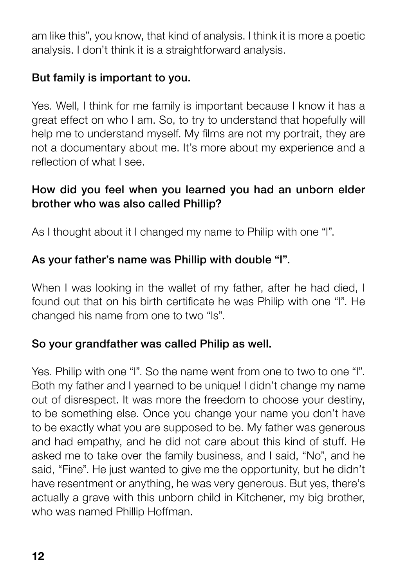am like this", you know, that kind of analysis. I think it is more a poetic analysis. I don't think it is a straightforward analysis.

# But family is important to you.

Yes. Well, I think for me family is important because I know it has a great effect on who I am. So, to try to understand that hopefully will help me to understand myself. My films are not my portrait, they are not a documentary about me. It's more about my experience and a reflection of what I see.

### How did you feel when you learned you had an unborn elder brother who was also called Phillip?

As I thought about it I changed my name to Philip with one "l".

## As your father's name was Phillip with double "l".

When I was looking in the wallet of my father, after he had died, I found out that on his birth certificate he was Philip with one "l". He changed his name from one to two "ls".

#### So your grandfather was called Philip as well.

Yes. Philip with one "l". So the name went from one to two to one "l". Both my father and I yearned to be unique! I didn't change my name out of disrespect. It was more the freedom to choose your destiny, to be something else. Once you change your name you don't have to be exactly what you are supposed to be. My father was generous and had empathy, and he did not care about this kind of stuff. He asked me to take over the family business, and I said, "No", and he said, "Fine". He just wanted to give me the opportunity, but he didn't have resentment or anything, he was very generous. But yes, there's actually a grave with this unborn child in Kitchener, my big brother, who was named Phillip Hoffman.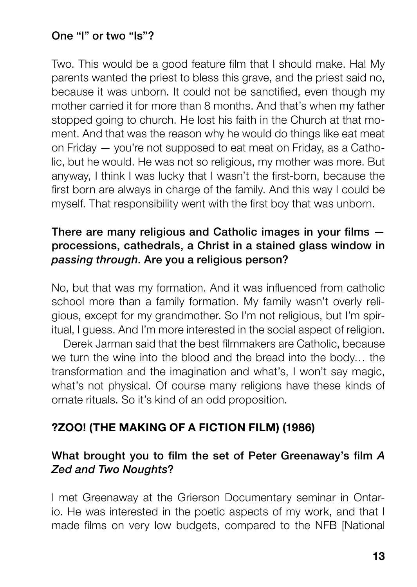#### One "l" or two "ls"?

Two. This would be a good feature film that I should make. Ha! My parents wanted the priest to bless this grave, and the priest said no, because it was unborn. It could not be sanctified, even though my mother carried it for more than 8 months. And that's when my father stopped going to church. He lost his faith in the Church at that moment. And that was the reason why he would do things like eat meat on Friday — you're not supposed to eat meat on Friday, as a Catholic, but he would. He was not so religious, my mother was more. But anyway, I think I was lucky that I wasn't the first-born, because the first born are always in charge of the family. And this way I could be myself. That responsibility went with the first boy that was unborn.

#### There are many religious and Catholic images in your films processions, cathedrals, a Christ in a stained glass window in passing through. Are you a religious person?

No, but that was my formation. And it was influenced from catholic school more than a family formation. My family wasn't overly religious, except for my grandmother. So I'm not religious, but I'm spiritual, I guess. And I'm more interested in the social aspect of religion.

Derek Jarman said that the best filmmakers are Catholic, because we turn the wine into the blood and the bread into the body… the transformation and the imagination and what's, I won't say magic, what's not physical. Of course many religions have these kinds of ornate rituals. So it's kind of an odd proposition.

#### ?ZOO! (THE MAKING OF A FICTION FILM) (1986)

#### What brought you to film the set of Peter Greenaway's film A Zed and Two Noughts?

I met Greenaway at the Grierson Documentary seminar in Ontario. He was interested in the poetic aspects of my work, and that I made films on very low budgets, compared to the NFB [National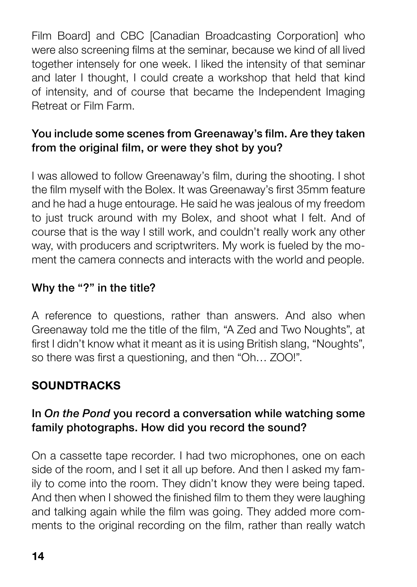Film Board] and CBC [Canadian Broadcasting Corporation] who were also screening films at the seminar, because we kind of all lived together intensely for one week. I liked the intensity of that seminar and later I thought, I could create a workshop that held that kind of intensity, and of course that became the Independent Imaging Retreat or Film Farm.

# You include some scenes from Greenaway's film. Are they taken from the original film, or were they shot by you?

I was allowed to follow Greenaway's film, during the shooting. I shot the film myself with the Bolex. It was Greenaway's first 35mm feature and he had a huge entourage. He said he was jealous of my freedom to just truck around with my Bolex, and shoot what I felt. And of course that is the way I still work, and couldn't really work any other way, with producers and scriptwriters. My work is fueled by the moment the camera connects and interacts with the world and people.

# Why the "?" in the title?

A reference to questions, rather than answers. And also when Greenaway told me the title of the film, "A Zed and Two Noughts", at first I didn't know what it meant as it is using British slang, "Noughts", so there was first a questioning, and then "Oh… ZOO!".

# **SOUNDTRACKS**

## In On the Pond you record a conversation while watching some family photographs. How did you record the sound?

On a cassette tape recorder. I had two microphones, one on each side of the room, and I set it all up before. And then I asked my family to come into the room. They didn't know they were being taped. And then when I showed the finished film to them they were laughing and talking again while the film was going. They added more comments to the original recording on the film, rather than really watch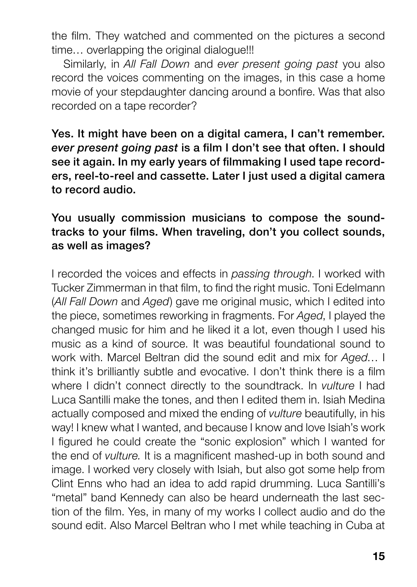the film. They watched and commented on the pictures a second time... overlapping the original dialogue!!!

Similarly, in All Fall Down and ever present going past you also record the voices commenting on the images, in this case a home movie of your stepdaughter dancing around a bonfire. Was that also recorded on a tape recorder?

Yes. It might have been on a digital camera, I can't remember. ever present going past is a film I don't see that often. I should see it again. In my early years of filmmaking I used tape recorders, reel-to-reel and cassette. Later I just used a digital camera to record audio.

#### You usually commission musicians to compose the soundtracks to your films. When traveling, don't you collect sounds, as well as images?

I recorded the voices and effects in passing through. I worked with Tucker Zimmerman in that film, to find the right music. Toni Edelmann (All Fall Down and Aged) gave me original music, which I edited into the piece, sometimes reworking in fragments. For Aged, I played the changed music for him and he liked it a lot, even though I used his music as a kind of source. It was beautiful foundational sound to work with. Marcel Beltran did the sound edit and mix for Aged... I think it's brilliantly subtle and evocative. I don't think there is a film where I didn't connect directly to the soundtrack. In *vulture* I had Luca Santilli make the tones, and then I edited them in. Isiah Medina actually composed and mixed the ending of vulture beautifully, in his way! I knew what I wanted, and because I know and love Isiah's work I figured he could create the "sonic explosion" which I wanted for the end of vulture. It is a magnificent mashed-up in both sound and image. I worked very closely with Isiah, but also got some help from Clint Enns who had an idea to add rapid drumming. Luca Santilli's "metal" band Kennedy can also be heard underneath the last section of the film. Yes, in many of my works I collect audio and do the sound edit. Also Marcel Beltran who I met while teaching in Cuba at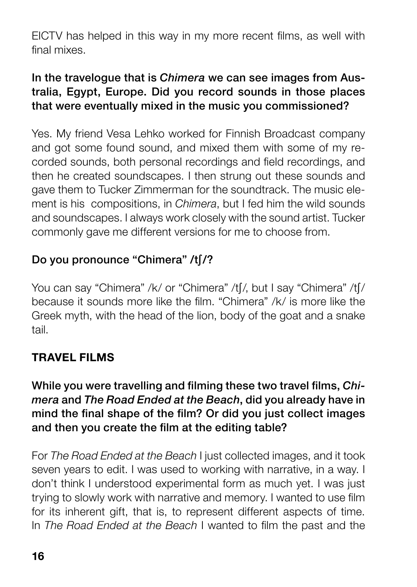EICTV has helped in this way in my more recent films, as well with final mixes.

# In the travelogue that is Chimera we can see images from Australia, Egypt, Europe. Did you record sounds in those places that were eventually mixed in the music you commissioned?

Yes. My friend Vesa Lehko worked for Finnish Broadcast company and got some found sound, and mixed them with some of my recorded sounds, both personal recordings and field recordings, and then he created soundscapes. I then strung out these sounds and gave them to Tucker Zimmerman for the soundtrack. The music element is his compositions, in *Chimera*, but I fed him the wild sounds and soundscapes. I always work closely with the sound artist. Tucker commonly gave me different versions for me to choose from.

# Do you pronounce "Chimera" /t∫/?

You can say "Chimera" /k/ or "Chimera" /t∫/, but I say "Chimera" /t∫/ because it sounds more like the film. "Chimera" /k/ is more like the Greek myth, with the head of the lion, body of the goat and a snake tail.

#### TRAVEL FILMS

While you were travelling and filming these two travel films, Chimera and The Road Ended at the Beach, did you already have in mind the final shape of the film? Or did you just collect images and then you create the film at the editing table?

For The Road Ended at the Beach I just collected images, and it took seven years to edit. I was used to working with narrative, in a way. I don't think I understood experimental form as much yet. I was just trying to slowly work with narrative and memory. I wanted to use film for its inherent gift, that is, to represent different aspects of time. In The Road Ended at the Beach I wanted to film the past and the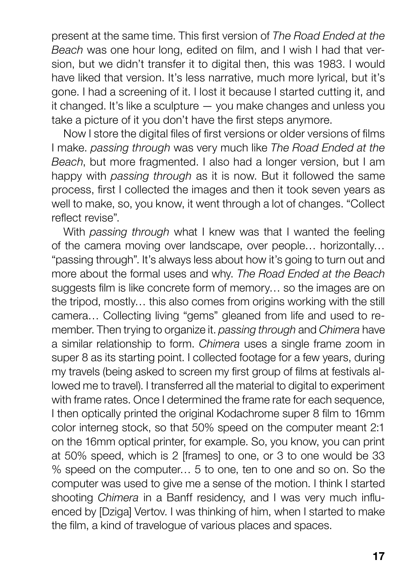present at the same time. This first version of The Road Ended at the Beach was one hour long, edited on film, and I wish I had that version, but we didn't transfer it to digital then, this was 1983. I would have liked that version. It's less narrative, much more lyrical, but it's gone. I had a screening of it. I lost it because I started cutting it, and it changed. It's like a sculpture — you make changes and unless you take a picture of it you don't have the first steps anymore.

Now I store the digital files of first versions or older versions of films I make. passing through was very much like The Road Ended at the Beach, but more fragmented. I also had a longer version, but I am happy with *passing through* as it is now. But it followed the same process, first I collected the images and then it took seven years as well to make, so, you know, it went through a lot of changes. "Collect reflect revise".

With passing through what I knew was that I wanted the feeling of the camera moving over landscape, over people… horizontally… "passing through". It's always less about how it's going to turn out and more about the formal uses and why. The Road Ended at the Beach suggests film is like concrete form of memory… so the images are on the tripod, mostly… this also comes from origins working with the still camera… Collecting living "gems" gleaned from life and used to remember. Then trying to organize it. passing through and Chimera have a similar relationship to form. Chimera uses a single frame zoom in super 8 as its starting point. I collected footage for a few years, during my travels (being asked to screen my first group of films at festivals allowed me to travel). I transferred all the material to digital to experiment with frame rates. Once I determined the frame rate for each sequence, I then optically printed the original Kodachrome super 8 film to 16mm color interneg stock, so that 50% speed on the computer meant 2:1 on the 16mm optical printer, for example. So, you know, you can print at 50% speed, which is 2 [frames] to one, or 3 to one would be 33 % speed on the computer… 5 to one, ten to one and so on. So the computer was used to give me a sense of the motion. I think I started shooting Chimera in a Banff residency, and I was very much influenced by [Dziga] Vertov. I was thinking of him, when I started to make the film, a kind of travelogue of various places and spaces.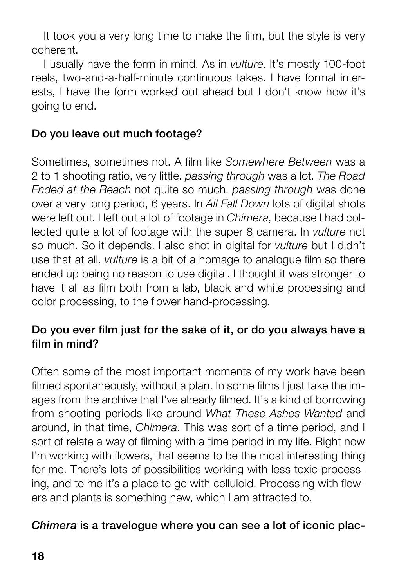It took you a very long time to make the film, but the style is very coherent.

I usually have the form in mind. As in vulture. It's mostly 100-foot reels, two-and-a-half-minute continuous takes. I have formal interests, I have the form worked out ahead but I don't know how it's going to end.

# Do you leave out much footage?

Sometimes, sometimes not. A film like Somewhere Between was a 2 to 1 shooting ratio, very little. passing through was a lot. The Road Ended at the Beach not quite so much. passing through was done over a very long period. 6 years. In All Fall Down lots of digital shots were left out. I left out a lot of footage in Chimera, because I had collected quite a lot of footage with the super 8 camera. In vulture not so much. So it depends. I also shot in digital for *vulture* but I didn't use that at all. vulture is a bit of a homage to analogue film so there ended up being no reason to use digital. I thought it was stronger to have it all as film both from a lab, black and white processing and color processing, to the flower hand-processing.

# Do you ever film just for the sake of it, or do you always have a film in mind?

Often some of the most important moments of my work have been filmed spontaneously, without a plan. In some films I just take the images from the archive that I've already filmed. It's a kind of borrowing from shooting periods like around What These Ashes Wanted and around, in that time, Chimera. This was sort of a time period, and I sort of relate a way of filming with a time period in my life. Right now I'm working with flowers, that seems to be the most interesting thing for me. There's lots of possibilities working with less toxic processing, and to me it's a place to go with celluloid. Processing with flowers and plants is something new, which I am attracted to.

#### Chimera is a travelogue where you can see a lot of iconic plac-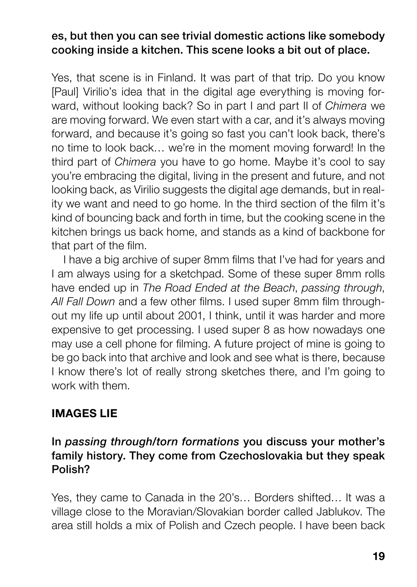#### es, but then you can see trivial domestic actions like somebody cooking inside a kitchen. This scene looks a bit out of place.

Yes, that scene is in Finland. It was part of that trip. Do you know [Paul] Virilio's idea that in the digital age everything is moving forward, without looking back? So in part I and part II of Chimera we are moving forward. We even start with a car, and it's always moving forward, and because it's going so fast you can't look back, there's no time to look back… we're in the moment moving forward! In the third part of Chimera you have to go home. Maybe it's cool to say you're embracing the digital, living in the present and future, and not looking back, as Virilio suggests the digital age demands, but in reality we want and need to go home. In the third section of the film it's kind of bouncing back and forth in time, but the cooking scene in the kitchen brings us back home, and stands as a kind of backbone for that part of the film.

I have a big archive of super 8mm films that I've had for years and I am always using for a sketchpad. Some of these super 8mm rolls have ended up in The Road Ended at the Beach, passing through, All Fall Down and a few other films. I used super 8mm film throughout my life up until about 2001, I think, until it was harder and more expensive to get processing. I used super 8 as how nowadays one may use a cell phone for filming. A future project of mine is going to be go back into that archive and look and see what is there, because I know there's lot of really strong sketches there, and I'm going to work with them.

# IMAGES LIE

#### In passing through/torn formations you discuss your mother's family history. They come from Czechoslovakia but they speak Polish?

Yes, they came to Canada in the 20's… Borders shifted… It was a village close to the Moravian/Slovakian border called Jablukov. The area still holds a mix of Polish and Czech people. I have been back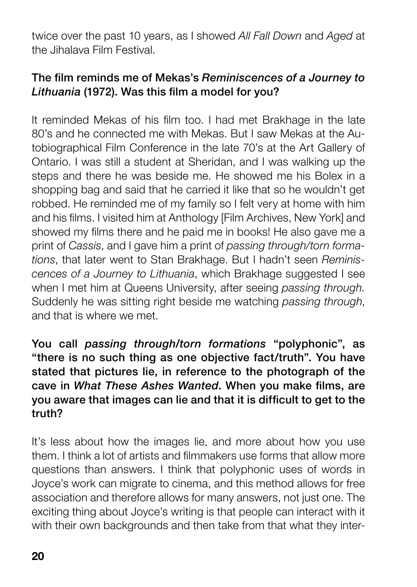twice over the past 10 years, as I showed All Fall Down and Aged at the Jihalava Film Festival.

#### The film reminds me of Mekas's Reminiscences of a Journey to Lithuania (1972). Was this film a model for you?

It reminded Mekas of his film too. I had met Brakhage in the late 80's and he connected me with Mekas. But I saw Mekas at the Autobiographical Film Conference in the late 70's at the Art Gallery of Ontario. I was still a student at Sheridan, and I was walking up the steps and there he was beside me. He showed me his Bolex in a shopping bag and said that he carried it like that so he wouldn't get robbed. He reminded me of my family so I felt very at home with him and his films. I visited him at Anthology [Film Archives, New York] and showed my films there and he paid me in books! He also gave me a print of Cassis, and I gave him a print of passing through/torn formations, that later went to Stan Brakhage. But I hadn't seen Reminiscences of a Journey to Lithuania, which Brakhage suggested I see when I met him at Queens University, after seeing passing through. Suddenly he was sitting right beside me watching passing through, and that is where we met.

You call passing through/torn formations "polyphonic", as "there is no such thing as one objective fact/truth". You have stated that pictures lie, in reference to the photograph of the cave in What These Ashes Wanted. When you make films, are you aware that images can lie and that it is difficult to get to the truth?

It's less about how the images lie, and more about how you use them. I think a lot of artists and filmmakers use forms that allow more questions than answers. I think that polyphonic uses of words in Joyce's work can migrate to cinema, and this method allows for free association and therefore allows for many answers, not just one. The exciting thing about Joyce's writing is that people can interact with it with their own backgrounds and then take from that what they inter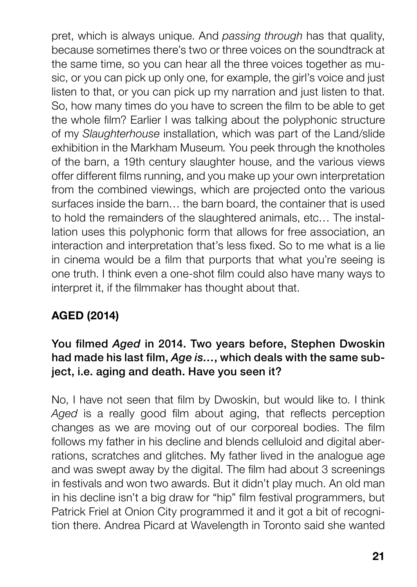pret, which is always unique. And passing through has that quality, because sometimes there's two or three voices on the soundtrack at the same time, so you can hear all the three voices together as music, or you can pick up only one, for example, the girl's voice and just listen to that, or you can pick up my narration and just listen to that. So, how many times do you have to screen the film to be able to get the whole film? Earlier I was talking about the polyphonic structure of my Slaughterhouse installation, which was part of the Land/slide exhibition in the Markham Museum. You peek through the knotholes of the barn, a 19th century slaughter house, and the various views offer different films running, and you make up your own interpretation from the combined viewings, which are projected onto the various surfaces inside the barn… the barn board, the container that is used to hold the remainders of the slaughtered animals, etc… The installation uses this polyphonic form that allows for free association, an interaction and interpretation that's less fixed. So to me what is a lie in cinema would be a film that purports that what you're seeing is one truth. I think even a one-shot film could also have many ways to interpret it, if the filmmaker has thought about that.

# AGED (2014)

#### You filmed Aged in 2014. Two years before, Stephen Dwoskin had made his last film, Age is..., which deals with the same subject, i.e. aging and death. Have you seen it?

No, I have not seen that film by Dwoskin, but would like to. I think Aged is a really good film about aging, that reflects perception changes as we are moving out of our corporeal bodies. The film follows my father in his decline and blends celluloid and digital aberrations, scratches and glitches. My father lived in the analogue age and was swept away by the digital. The film had about 3 screenings in festivals and won two awards. But it didn't play much. An old man in his decline isn't a big draw for "hip" film festival programmers, but Patrick Friel at Onion City programmed it and it got a bit of recognition there. Andrea Picard at Wavelength in Toronto said she wanted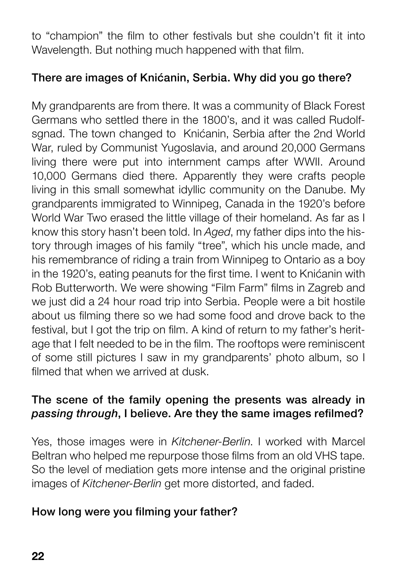to "champion" the film to other festivals but she couldn't fit it into Wavelength. But nothing much happened with that film.

### There are images of Knićanin, Serbia. Why did you go there?

My grandparents are from there. It was a community of Black Forest Germans who settled there in the 1800's, and it was called Rudolfsgnad. The town changed to Knićanin, Serbia after the 2nd World War, ruled by Communist Yugoslavia, and around 20,000 Germans living there were put into internment camps after WWII. Around 10,000 Germans died there. Apparently they were crafts people living in this small somewhat idyllic community on the Danube. My grandparents immigrated to Winnipeg, Canada in the 1920's before World War Two erased the little village of their homeland. As far as I know this story hasn't been told. In Aged, my father dips into the history through images of his family "tree", which his uncle made, and his remembrance of riding a train from Winnipeg to Ontario as a boy in the 1920's, eating peanuts for the first time. I went to Knićanin with Rob Butterworth. We were showing "Film Farm" films in Zagreb and we just did a 24 hour road trip into Serbia. People were a bit hostile about us filming there so we had some food and drove back to the festival, but I got the trip on film. A kind of return to my father's heritage that I felt needed to be in the film. The rooftops were reminiscent of some still pictures I saw in my grandparents' photo album, so I filmed that when we arrived at dusk.

#### The scene of the family opening the presents was already in passing through, I believe. Are they the same images refilmed?

Yes, those images were in Kitchener-Berlin. I worked with Marcel Beltran who helped me repurpose those films from an old VHS tape. So the level of mediation gets more intense and the original pristine images of Kitchener-Berlin get more distorted, and faded.

#### How long were you filming your father?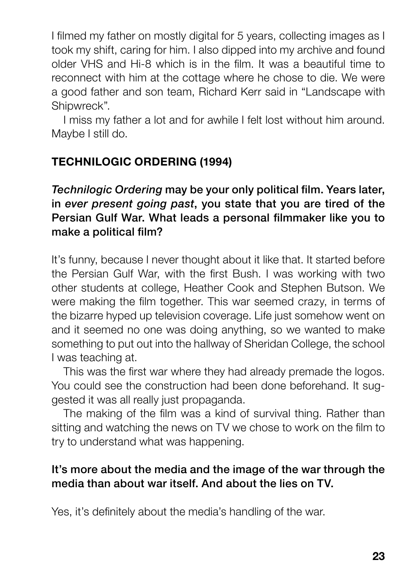I filmed my father on mostly digital for 5 years, collecting images as I took my shift, caring for him. I also dipped into my archive and found older VHS and Hi-8 which is in the film. It was a beautiful time to reconnect with him at the cottage where he chose to die. We were a good father and son team, Richard Kerr said in "Landscape with Shipwreck".

I miss my father a lot and for awhile I felt lost without him around. Maybe I still do.

# TECHNILOGIC ORDERING (1994)

Technilogic Ordering may be your only political film. Years later, in ever present going past, you state that you are tired of the Persian Gulf War. What leads a personal filmmaker like you to make a political film?

It's funny, because I never thought about it like that. It started before the Persian Gulf War, with the first Bush. I was working with two other students at college, Heather Cook and Stephen Butson. We were making the film together. This war seemed crazy, in terms of the bizarre hyped up television coverage. Life just somehow went on and it seemed no one was doing anything, so we wanted to make something to put out into the hallway of Sheridan College, the school I was teaching at.

This was the first war where they had already premade the logos. You could see the construction had been done beforehand. It suggested it was all really just propaganda.

The making of the film was a kind of survival thing. Rather than sitting and watching the news on TV we chose to work on the film to try to understand what was happening.

#### It's more about the media and the image of the war through the media than about war itself. And about the lies on TV.

Yes, it's definitely about the media's handling of the war.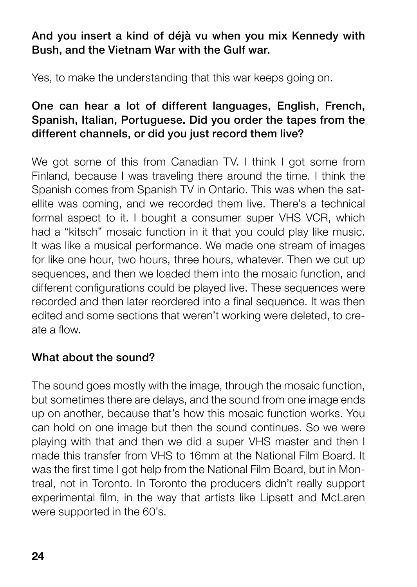## And you insert a kind of déjà vu when you mix Kennedy with Bush, and the Vietnam War with the Gulf war.

Yes, to make the understanding that this war keeps going on.

#### One can hear a lot of different languages, English, French, Spanish, Italian, Portuguese. Did you order the tapes from the different channels, or did you just record them live?

We got some of this from Canadian TV. I think I got some from Finland, because I was traveling there around the time. I think the Spanish comes from Spanish TV in Ontario. This was when the satellite was coming, and we recorded them live. There's a technical formal aspect to it. I bought a consumer super VHS VCR, which had a "kitsch" mosaic function in it that you could play like music. It was like a musical performance. We made one stream of images for like one hour, two hours, three hours, whatever. Then we cut up sequences, and then we loaded them into the mosaic function, and different configurations could be played live. These sequences were recorded and then later reordered into a final sequence. It was then edited and some sections that weren't working were deleted, to create a flow.

#### What about the sound?

The sound goes mostly with the image, through the mosaic function, but sometimes there are delays, and the sound from one image ends up on another, because that's how this mosaic function works. You can hold on one image but then the sound continues. So we were playing with that and then we did a super VHS master and then I made this transfer from VHS to 16mm at the National Film Board. It was the first time I got help from the National Film Board, but in Montreal, not in Toronto. In Toronto the producers didn't really support experimental film, in the way that artists like Lipsett and McLaren were supported in the 60's.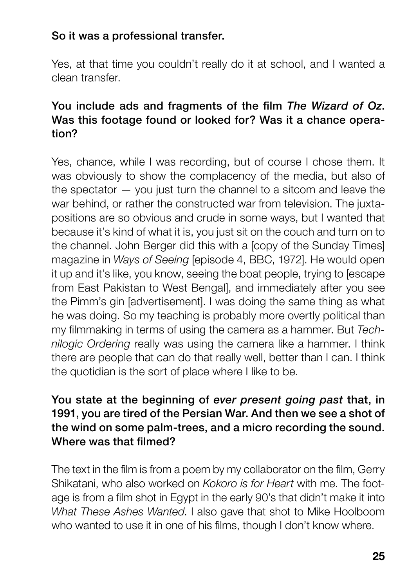### So it was a professional transfer.

Yes, at that time you couldn't really do it at school, and I wanted a clean transfer.

#### You include ads and fragments of the film The Wizard of Oz. Was this footage found or looked for? Was it a chance operation?

Yes, chance, while I was recording, but of course I chose them. It was obviously to show the complacency of the media, but also of the spectator — you just turn the channel to a sitcom and leave the war behind, or rather the constructed war from television. The juxtapositions are so obvious and crude in some ways, but I wanted that because it's kind of what it is, you just sit on the couch and turn on to the channel. John Berger did this with a [copy of the Sunday Times] magazine in Ways of Seeing [episode 4, BBC, 1972]. He would open it up and it's like, you know, seeing the boat people, trying to [escape from East Pakistan to West Bengal], and immediately after you see the Pimm's gin [advertisement]. I was doing the same thing as what he was doing. So my teaching is probably more overtly political than my filmmaking in terms of using the camera as a hammer. But Technilogic Ordering really was using the camera like a hammer. I think there are people that can do that really well, better than I can. I think the quotidian is the sort of place where I like to be.

### You state at the beginning of ever present going past that, in 1991, you are tired of the Persian War. And then we see a shot of the wind on some palm-trees, and a micro recording the sound. Where was that filmed?

The text in the film is from a poem by my collaborator on the film, Gerry Shikatani, who also worked on Kokoro is for Heart with me. The footage is from a film shot in Egypt in the early 90's that didn't make it into What These Ashes Wanted. I also gave that shot to Mike Hoolboom who wanted to use it in one of his films, though I don't know where.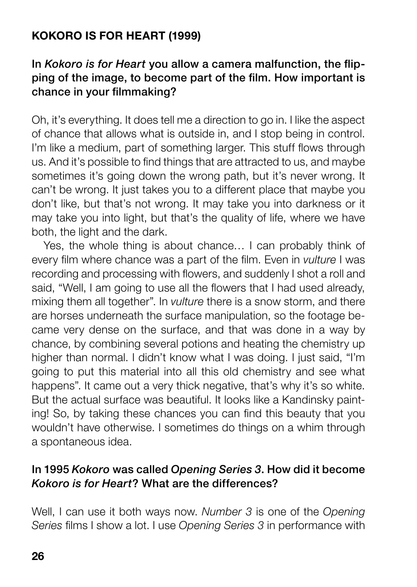# KOKORO IS FOR HEART (1999)

#### In Kokoro is for Heart you allow a camera malfunction, the flipping of the image, to become part of the film. How important is chance in your filmmaking?

Oh, it's everything. It does tell me a direction to go in. I like the aspect of chance that allows what is outside in, and I stop being in control. I'm like a medium, part of something larger. This stuff flows through us. And it's possible to find things that are attracted to us, and maybe sometimes it's going down the wrong path, but it's never wrong. It can't be wrong. It just takes you to a different place that maybe you don't like, but that's not wrong. It may take you into darkness or it may take you into light, but that's the quality of life, where we have both, the light and the dark.

Yes, the whole thing is about chance… I can probably think of every film where chance was a part of the film. Even in *vulture* I was recording and processing with flowers, and suddenly I shot a roll and said, "Well, I am going to use all the flowers that I had used already, mixing them all together". In *vulture* there is a snow storm, and there are horses underneath the surface manipulation, so the footage became very dense on the surface, and that was done in a way by chance, by combining several potions and heating the chemistry up higher than normal. I didn't know what I was doing. I just said. "I'm going to put this material into all this old chemistry and see what happens". It came out a very thick negative, that's why it's so white. But the actual surface was beautiful. It looks like a Kandinsky painting! So, by taking these chances you can find this beauty that you wouldn't have otherwise. I sometimes do things on a whim through a spontaneous idea.

#### In 1995 Kokoro was called Opening Series 3. How did it become Kokoro is for Heart? What are the differences?

Well, I can use it both ways now. Number 3 is one of the Opening Series films I show a lot. I use Opening Series 3 in performance with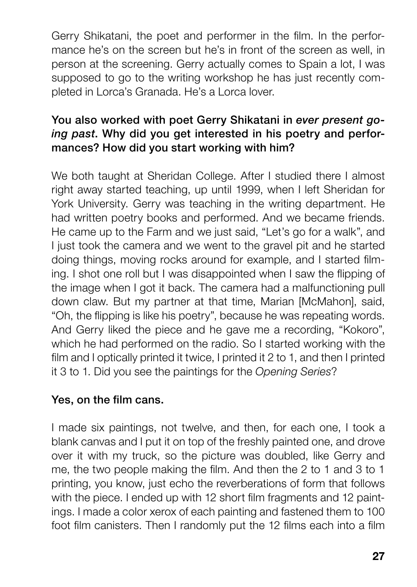Gerry Shikatani, the poet and performer in the film. In the performance he's on the screen but he's in front of the screen as well, in person at the screening. Gerry actually comes to Spain a lot, I was supposed to go to the writing workshop he has just recently completed in Lorca's Granada. He's a Lorca lover.

## You also worked with poet Gerry Shikatani in ever present going past. Why did you get interested in his poetry and performances? How did you start working with him?

We both taught at Sheridan College. After I studied there I almost right away started teaching, up until 1999, when I left Sheridan for York University. Gerry was teaching in the writing department. He had written poetry books and performed. And we became friends. He came up to the Farm and we just said, "Let's go for a walk", and I just took the camera and we went to the gravel pit and he started doing things, moving rocks around for example, and I started filming. I shot one roll but I was disappointed when I saw the flipping of the image when I got it back. The camera had a malfunctioning pull down claw. But my partner at that time, Marian [McMahon], said, "Oh, the flipping is like his poetry", because he was repeating words. And Gerry liked the piece and he gave me a recording, "Kokoro", which he had performed on the radio. So I started working with the film and I optically printed it twice, I printed it 2 to 1, and then I printed it 3 to 1. Did you see the paintings for the Opening Series?

#### Yes, on the film cans.

I made six paintings, not twelve, and then, for each one, I took a blank canvas and I put it on top of the freshly painted one, and drove over it with my truck, so the picture was doubled, like Gerry and me, the two people making the film. And then the 2 to 1 and 3 to 1 printing, you know, just echo the reverberations of form that follows with the piece. I ended up with 12 short film fragments and 12 paintings. I made a color xerox of each painting and fastened them to 100 foot film canisters. Then I randomly put the 12 films each into a film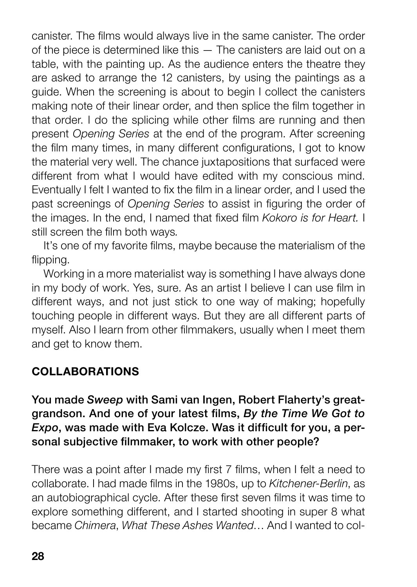canister. The films would always live in the same canister. The order of the piece is determined like this — The canisters are laid out on a table, with the painting up. As the audience enters the theatre they are asked to arrange the 12 canisters, by using the paintings as a guide. When the screening is about to begin I collect the canisters making note of their linear order, and then splice the film together in that order. I do the splicing while other films are running and then present Opening Series at the end of the program. After screening the film many times, in many different configurations, I got to know the material very well. The chance juxtapositions that surfaced were different from what I would have edited with my conscious mind. Eventually I felt I wanted to fix the film in a linear order, and I used the past screenings of Opening Series to assist in figuring the order of the images. In the end, I named that fixed film Kokoro is for Heart. I still screen the film both ways.

It's one of my favorite films, maybe because the materialism of the flipping.

Working in a more materialist way is something I have always done in my body of work. Yes, sure. As an artist I believe I can use film in different ways, and not just stick to one way of making; hopefully touching people in different ways. But they are all different parts of myself. Also I learn from other filmmakers, usually when I meet them and get to know them.

#### COLLABORATIONS

You made Sweep with Sami van Ingen, Robert Flaherty's greatgrandson. And one of your latest films, By the Time We Got to Expo, was made with Eva Kolcze. Was it difficult for you, a personal subjective filmmaker, to work with other people?

There was a point after I made my first 7 films, when I felt a need to collaborate. I had made films in the 1980s, up to Kitchener-Berlin, as an autobiographical cycle. After these first seven films it was time to explore something different, and I started shooting in super 8 what became Chimera, What These Ashes Wanted… And I wanted to col-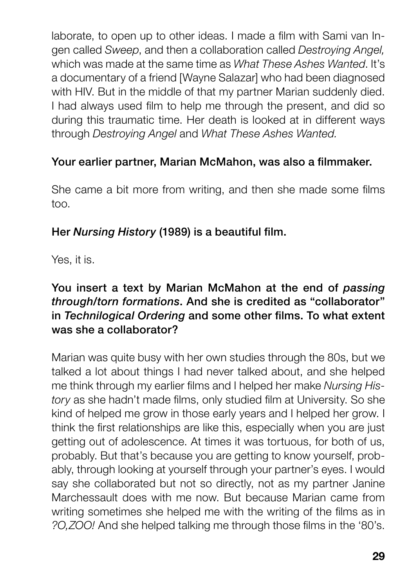laborate, to open up to other ideas. I made a film with Sami van Ingen called Sweep, and then a collaboration called Destroying Angel, which was made at the same time as What These Ashes Wanted. It's a documentary of a friend [Wayne Salazar] who had been diagnosed with HIV. But in the middle of that my partner Marian suddenly died. I had always used film to help me through the present, and did so during this traumatic time. Her death is looked at in different ways through Destroying Angel and What These Ashes Wanted.

## Your earlier partner, Marian McMahon, was also a filmmaker.

She came a bit more from writing, and then she made some films too.

#### Her Nursing History (1989) is a beautiful film.

Yes, it is.

### You insert a text by Marian McMahon at the end of passing through/torn formations. And she is credited as "collaborator" in Technilogical Ordering and some other films. To what extent was she a collaborator?

Marian was quite busy with her own studies through the 80s, but we talked a lot about things I had never talked about, and she helped me think through my earlier films and I helped her make Nursing History as she hadn't made films, only studied film at University. So she kind of helped me grow in those early years and I helped her grow. I think the first relationships are like this, especially when you are just getting out of adolescence. At times it was tortuous, for both of us, probably. But that's because you are getting to know yourself, probably, through looking at yourself through your partner's eyes. I would say she collaborated but not so directly, not as my partner Janine Marchessault does with me now. But because Marian came from writing sometimes she helped me with the writing of the films as in ?O,ZOO! And she helped talking me through those films in the '80's.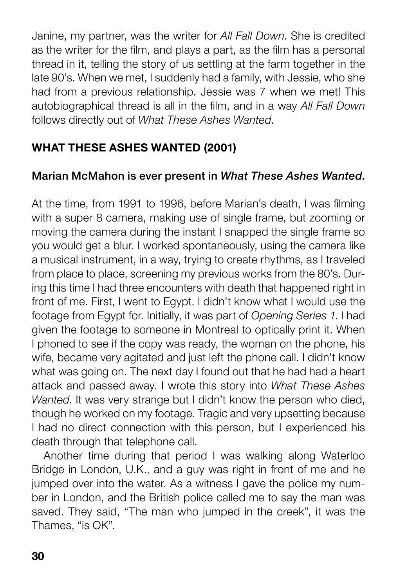Janine, my partner, was the writer for All Fall Down. She is credited as the writer for the film, and plays a part, as the film has a personal thread in it, telling the story of us settling at the farm together in the late 90's. When we met, I suddenly had a family, with Jessie, who she had from a previous relationship. Jessie was 7 when we met! This autobiographical thread is all in the film, and in a way All Fall Down follows directly out of What These Ashes Wanted.

# WHAT THESE ASHES WANTED (2001)

# Marian McMahon is ever present in What These Ashes Wanted.

At the time, from 1991 to 1996, before Marian's death, I was filming with a super 8 camera, making use of single frame, but zooming or moving the camera during the instant I snapped the single frame so you would get a blur. I worked spontaneously, using the camera like a musical instrument, in a way, trying to create rhythms, as I traveled from place to place, screening my previous works from the 80's. During this time I had three encounters with death that happened right in front of me. First, I went to Egypt. I didn't know what I would use the footage from Egypt for. Initially, it was part of Opening Series 1. I had given the footage to someone in Montreal to optically print it. When I phoned to see if the copy was ready, the woman on the phone, his wife, became very agitated and just left the phone call. I didn't know what was going on. The next day I found out that he had had a heart attack and passed away. I wrote this story into What These Ashes Wanted. It was very strange but I didn't know the person who died. though he worked on my footage. Tragic and very upsetting because I had no direct connection with this person, but I experienced his death through that telephone call.

Another time during that period I was walking along Waterloo Bridge in London, U.K., and a guy was right in front of me and he jumped over into the water. As a witness I gave the police my number in London, and the British police called me to say the man was saved. They said, "The man who jumped in the creek", it was the Thames, "is OK".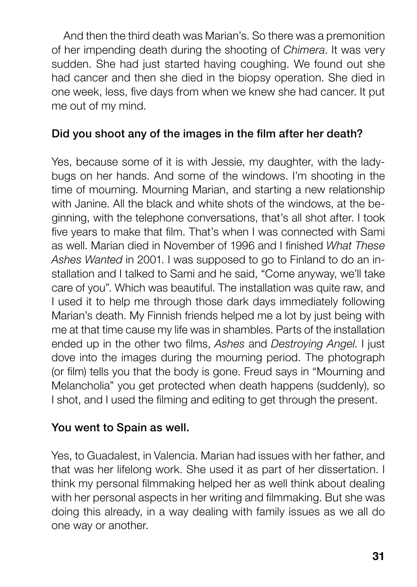And then the third death was Marian's. So there was a premonition of her impending death during the shooting of Chimera. It was very sudden. She had just started having coughing. We found out she had cancer and then she died in the biopsy operation. She died in one week, less, five days from when we knew she had cancer. It put me out of my mind.

#### Did you shoot any of the images in the film after her death?

Yes, because some of it is with Jessie, my daughter, with the ladybugs on her hands. And some of the windows. I'm shooting in the time of mourning. Mourning Marian, and starting a new relationship with Janine. All the black and white shots of the windows, at the beginning, with the telephone conversations, that's all shot after. I took five years to make that film. That's when I was connected with Sami as well. Marian died in November of 1996 and I finished What These Ashes Wanted in 2001. I was supposed to go to Finland to do an installation and I talked to Sami and he said, "Come anyway, we'll take care of you". Which was beautiful. The installation was quite raw, and I used it to help me through those dark days immediately following Marian's death. My Finnish friends helped me a lot by just being with me at that time cause my life was in shambles. Parts of the installation ended up in the other two films, Ashes and Destroying Angel. I just dove into the images during the mourning period. The photograph (or film) tells you that the body is gone. Freud says in "Mourning and Melancholia" you get protected when death happens (suddenly), so I shot, and I used the filming and editing to get through the present.

#### You went to Spain as well.

Yes, to Guadalest, in Valencia. Marian had issues with her father, and that was her lifelong work. She used it as part of her dissertation. I think my personal filmmaking helped her as well think about dealing with her personal aspects in her writing and filmmaking. But she was doing this already, in a way dealing with family issues as we all do one way or another.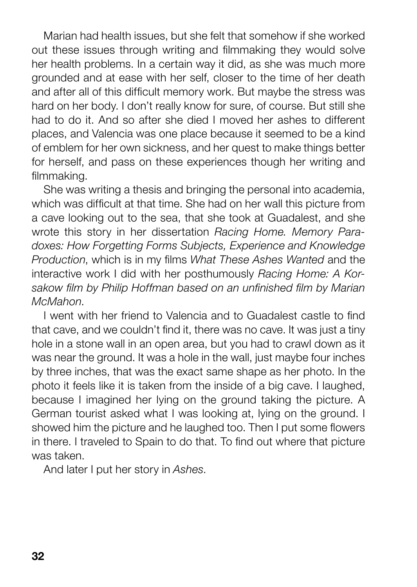Marian had health issues, but she felt that somehow if she worked out these issues through writing and filmmaking they would solve her health problems. In a certain way it did, as she was much more grounded and at ease with her self, closer to the time of her death and after all of this difficult memory work. But maybe the stress was hard on her body. I don't really know for sure, of course. But still she had to do it. And so after she died I moved her ashes to different places, and Valencia was one place because it seemed to be a kind of emblem for her own sickness, and her quest to make things better for herself, and pass on these experiences though her writing and filmmaking.

She was writing a thesis and bringing the personal into academia, which was difficult at that time. She had on her wall this picture from a cave looking out to the sea, that she took at Guadalest, and she wrote this story in her dissertation Racing Home. Memory Paradoxes: How Forgetting Forms Subjects, Experience and Knowledge Production, which is in my films What These Ashes Wanted and the interactive work I did with her posthumously Racing Home: A Korsakow film by Philip Hoffman based on an unfinished film by Marian McMahon.

I went with her friend to Valencia and to Guadalest castle to find that cave, and we couldn't find it, there was no cave. It was just a tiny hole in a stone wall in an open area, but you had to crawl down as it was near the ground. It was a hole in the wall, just maybe four inches by three inches, that was the exact same shape as her photo. In the photo it feels like it is taken from the inside of a big cave. I laughed, because I imagined her lying on the ground taking the picture. A German tourist asked what I was looking at, lying on the ground. I showed him the picture and he laughed too. Then I put some flowers in there. I traveled to Spain to do that. To find out where that picture was taken.

And later I put her story in Ashes.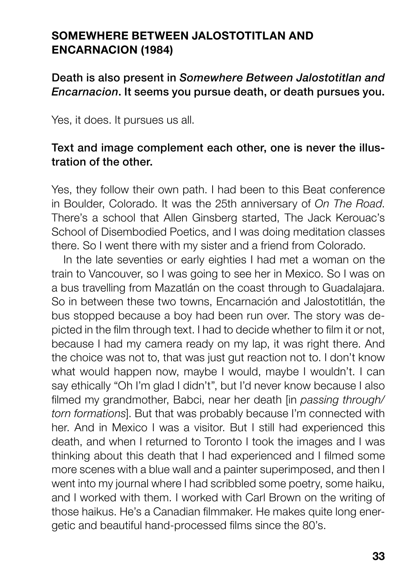#### SOMEWHERE BETWEEN JALOSTOTITI AN AND ENCARNACION (1984)

#### Death is also present in Somewhere Between Jalostotitlan and Encarnacion. It seems you pursue death, or death pursues you.

Yes, it does. It pursues us all.

#### Text and image complement each other, one is never the illustration of the other.

Yes, they follow their own path. I had been to this Beat conference in Boulder, Colorado. It was the 25th anniversary of On The Road. There's a school that Allen Ginsberg started, The Jack Kerouac's School of Disembodied Poetics, and I was doing meditation classes there. So I went there with my sister and a friend from Colorado.

In the late seventies or early eighties I had met a woman on the train to Vancouver, so I was going to see her in Mexico. So I was on a bus travelling from Mazatlán on the coast through to Guadalajara. So in between these two towns, Encarnación and Jalostotitlán, the bus stopped because a boy had been run over. The story was depicted in the film through text. I had to decide whether to film it or not, because I had my camera ready on my lap, it was right there. And the choice was not to, that was just gut reaction not to. I don't know what would happen now, maybe I would, maybe I wouldn't. I can say ethically "Oh I'm glad I didn't", but I'd never know because I also filmed my grandmother. Babci, near her death [in passing through/ torn formations]. But that was probably because I'm connected with her. And in Mexico I was a visitor. But I still had experienced this death, and when I returned to Toronto I took the images and I was thinking about this death that I had experienced and I filmed some more scenes with a blue wall and a painter superimposed, and then I went into my journal where I had scribbled some poetry, some haiku, and I worked with them. I worked with Carl Brown on the writing of those haikus. He's a Canadian filmmaker. He makes quite long energetic and beautiful hand-processed films since the 80's.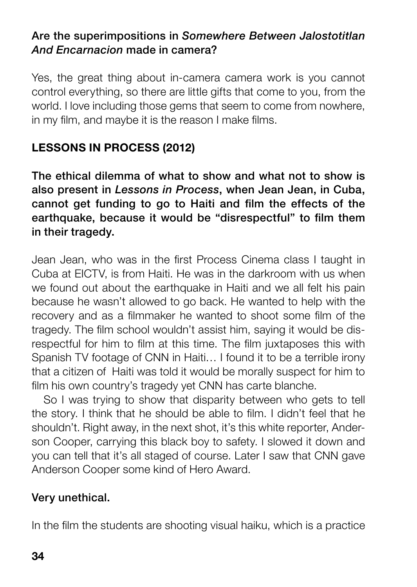#### Are the superimpositions in Somewhere Between Jalostotitlan And Encarnacion made in camera?

Yes, the great thing about in-camera camera work is you cannot control everything, so there are little gifts that come to you, from the world. I love including those gems that seem to come from nowhere, in my film, and maybe it is the reason I make films.

# LESSONS IN PROCESS (2012)

The ethical dilemma of what to show and what not to show is also present in Lessons in Process, when Jean Jean, in Cuba, cannot get funding to go to Haiti and film the effects of the earthquake, because it would be "disrespectful" to film them in their tragedy.

Jean Jean, who was in the first Process Cinema class I taught in Cuba at EICTV, is from Haiti. He was in the darkroom with us when we found out about the earthquake in Haiti and we all felt his pain because he wasn't allowed to go back. He wanted to help with the recovery and as a filmmaker he wanted to shoot some film of the tragedy. The film school wouldn't assist him, saying it would be disrespectful for him to film at this time. The film juxtaposes this with Spanish TV footage of CNN in Haiti… I found it to be a terrible irony that a citizen of Haiti was told it would be morally suspect for him to film his own country's tragedy yet CNN has carte blanche.

So I was trying to show that disparity between who gets to tell the story. I think that he should be able to film. I didn't feel that he shouldn't. Right away, in the next shot, it's this white reporter. Anderson Cooper, carrying this black boy to safety. I slowed it down and you can tell that it's all staged of course. Later I saw that CNN gave Anderson Cooper some kind of Hero Award.

# Very unethical.

In the film the students are shooting visual haiku, which is a practice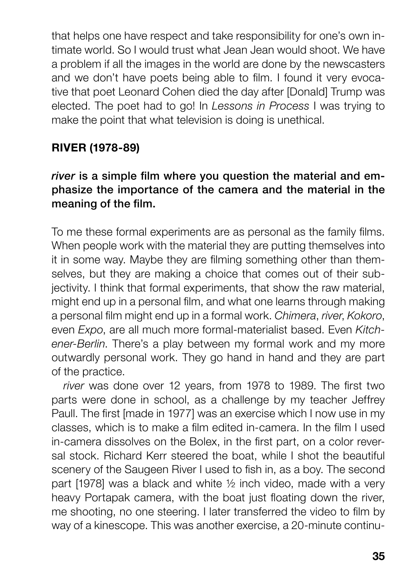that helps one have respect and take responsibility for one's own intimate world. So I would trust what Jean Jean would shoot. We have a problem if all the images in the world are done by the newscasters and we don't have poets being able to film. I found it very evocative that poet Leonard Cohen died the day after [Donald] Trump was elected. The poet had to go! In Lessons in Process I was trying to make the point that what television is doing is unethical.

# RIVER (1978-89)

### river is a simple film where you question the material and emphasize the importance of the camera and the material in the meaning of the film.

To me these formal experiments are as personal as the family films. When people work with the material they are putting themselves into it in some way. Maybe they are filming something other than themselves, but they are making a choice that comes out of their subjectivity. I think that formal experiments, that show the raw material, might end up in a personal film, and what one learns through making a personal film might end up in a formal work. Chimera, river, Kokoro, even Expo, are all much more formal-materialist based. Even Kitchener-Berlin. There's a play between my formal work and my more outwardly personal work. They go hand in hand and they are part of the practice.

river was done over 12 years, from 1978 to 1989. The first two parts were done in school, as a challenge by my teacher Jeffrey Paull. The first [made in 1977] was an exercise which I now use in my classes, which is to make a film edited in-camera. In the film I used in-camera dissolves on the Bolex, in the first part, on a color reversal stock. Richard Kerr steered the boat, while I shot the beautiful scenery of the Saugeen River I used to fish in, as a boy. The second part [1978] was a black and white ½ inch video, made with a very heavy Portapak camera, with the boat just floating down the river, me shooting, no one steering. I later transferred the video to film by way of a kinescope. This was another exercise, a 20-minute continu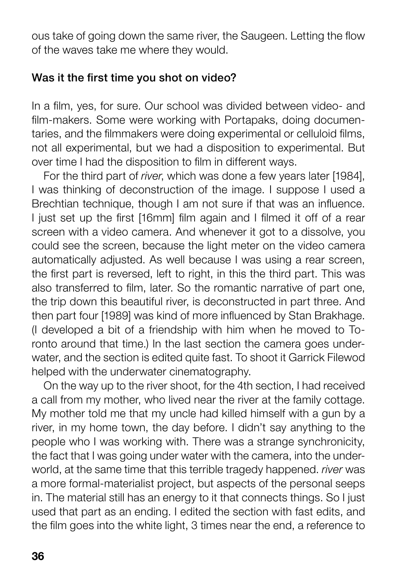ous take of going down the same river, the Saugeen. Letting the flow of the waves take me where they would.

#### Was it the first time you shot on video?

In a film, yes, for sure. Our school was divided between video- and film-makers. Some were working with Portapaks, doing documentaries, and the filmmakers were doing experimental or celluloid films, not all experimental, but we had a disposition to experimental. But over time I had the disposition to film in different ways.

For the third part of river, which was done a few years later [1984], I was thinking of deconstruction of the image. I suppose I used a Brechtian technique, though I am not sure if that was an influence. I just set up the first [16mm] film again and I filmed it off of a rear screen with a video camera. And whenever it got to a dissolve, you could see the screen, because the light meter on the video camera automatically adjusted. As well because I was using a rear screen, the first part is reversed, left to right, in this the third part. This was also transferred to film, later. So the romantic narrative of part one, the trip down this beautiful river, is deconstructed in part three. And then part four [1989] was kind of more influenced by Stan Brakhage. (I developed a bit of a friendship with him when he moved to Toronto around that time.) In the last section the camera goes underwater, and the section is edited quite fast. To shoot it Garrick Filewod helped with the underwater cinematography.

On the way up to the river shoot, for the 4th section, I had received a call from my mother, who lived near the river at the family cottage. My mother told me that my uncle had killed himself with a gun by a river, in my home town, the day before. I didn't say anything to the people who I was working with. There was a strange synchronicity, the fact that I was going under water with the camera, into the underworld, at the same time that this terrible tragedy happened, river was a more formal-materialist project, but aspects of the personal seeps in. The material still has an energy to it that connects things. So I just used that part as an ending. I edited the section with fast edits, and the film goes into the white light, 3 times near the end, a reference to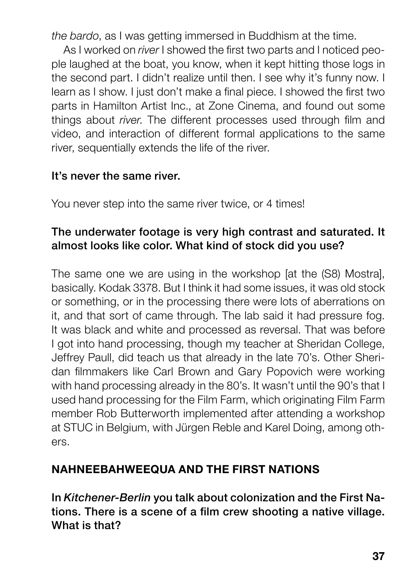the bardo, as I was getting immersed in Buddhism at the time.

As I worked on river I showed the first two parts and I noticed people laughed at the boat, you know, when it kept hitting those logs in the second part. I didn't realize until then. I see why it's funny now. I learn as I show. I just don't make a final piece. I showed the first two parts in Hamilton Artist Inc., at Zone Cinema, and found out some things about river. The different processes used through film and video, and interaction of different formal applications to the same river, sequentially extends the life of the river.

#### It's never the same river.

You never step into the same river twice, or 4 times!

#### The underwater footage is very high contrast and saturated. It almost looks like color. What kind of stock did you use?

The same one we are using in the workshop [at the (S8) Mostra], basically. Kodak 3378. But I think it had some issues, it was old stock or something, or in the processing there were lots of aberrations on it, and that sort of came through. The lab said it had pressure fog. It was black and white and processed as reversal. That was before I got into hand processing, though my teacher at Sheridan College, Jeffrey Paull, did teach us that already in the late 70's. Other Sheridan filmmakers like Carl Brown and Gary Popovich were working with hand processing already in the 80's. It wasn't until the 90's that I used hand processing for the Film Farm, which originating Film Farm member Rob Butterworth implemented after attending a workshop at STUC in Belgium, with Jürgen Reble and Karel Doing, among others.

# NAHNEEBAHWEEQUA AND THE FIRST NATIONS

In Kitchener-Berlin you talk about colonization and the First Nations. There is a scene of a film crew shooting a native village. What is that?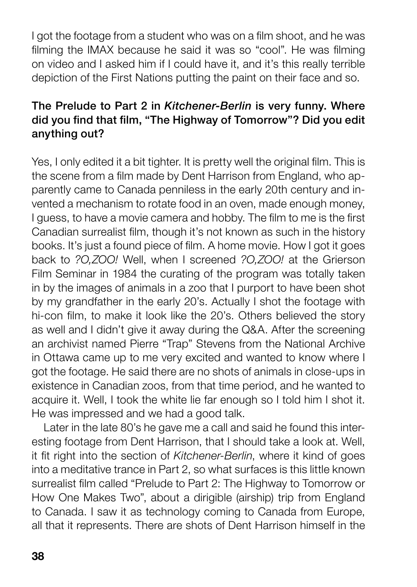I got the footage from a student who was on a film shoot, and he was filming the IMAX because he said it was so "cool". He was filming on video and I asked him if I could have it, and it's this really terrible depiction of the First Nations putting the paint on their face and so.

### The Prelude to Part 2 in Kitchener-Berlin is very funny. Where did you find that film, "The Highway of Tomorrow"? Did you edit anything out?

Yes, I only edited it a bit tighter. It is pretty well the original film. This is the scene from a film made by Dent Harrison from England, who apparently came to Canada penniless in the early 20th century and invented a mechanism to rotate food in an oven, made enough money, I guess, to have a movie camera and hobby. The film to me is the first Canadian surrealist film, though it's not known as such in the history books. It's just a found piece of film. A home movie. How I got it goes back to ?O,ZOO! Well, when I screened ?O,ZOO! at the Grierson Film Seminar in 1984 the curating of the program was totally taken in by the images of animals in a zoo that I purport to have been shot by my grandfather in the early 20's. Actually I shot the footage with hi-con film, to make it look like the 20's. Others believed the story as well and I didn't give it away during the Q&A. After the screening an archivist named Pierre "Trap" Stevens from the National Archive in Ottawa came up to me very excited and wanted to know where I got the footage. He said there are no shots of animals in close-ups in existence in Canadian zoos, from that time period, and he wanted to acquire it. Well, I took the white lie far enough so I told him I shot it. He was impressed and we had a good talk.

Later in the late 80's he gave me a call and said he found this interesting footage from Dent Harrison, that I should take a look at. Well, it fit right into the section of Kitchener-Berlin, where it kind of goes into a meditative trance in Part 2, so what surfaces is this little known surrealist film called "Prelude to Part 2: The Highway to Tomorrow or How One Makes Two", about a dirigible (airship) trip from England to Canada. I saw it as technology coming to Canada from Europe, all that it represents. There are shots of Dent Harrison himself in the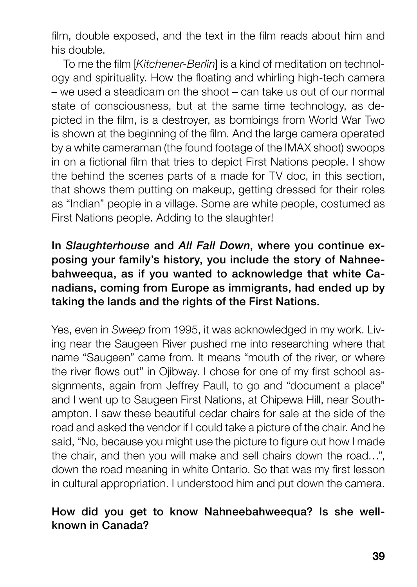film, double exposed, and the text in the film reads about him and his double.

To me the film [Kitchener-Berlin] is a kind of meditation on technology and spirituality. How the floating and whirling high-tech camera – we used a steadicam on the shoot – can take us out of our normal state of consciousness, but at the same time technology, as depicted in the film, is a destroyer, as bombings from World War Two is shown at the beginning of the film. And the large camera operated by a white cameraman (the found footage of the IMAX shoot) swoops in on a fictional film that tries to depict First Nations people. I show the behind the scenes parts of a made for TV doc, in this section, that shows them putting on makeup, getting dressed for their roles as "Indian" people in a village. Some are white people, costumed as First Nations people. Adding to the slaughter!

# In Slaughterhouse and All Fall Down, where you continue exposing your family's history, you include the story of Nahneebahweequa, as if you wanted to acknowledge that white Canadians, coming from Europe as immigrants, had ended up by taking the lands and the rights of the First Nations.

Yes, even in Sweep from 1995, it was acknowledged in my work. Living near the Saugeen River pushed me into researching where that name "Saugeen" came from. It means "mouth of the river, or where the river flows out" in Ojibway. I chose for one of my first school assignments, again from Jeffrey Paull, to go and "document a place" and I went up to Saugeen First Nations, at Chipewa Hill, near Southampton. I saw these beautiful cedar chairs for sale at the side of the road and asked the vendor if I could take a picture of the chair. And he said, "No, because you might use the picture to figure out how I made the chair, and then you will make and sell chairs down the road…", down the road meaning in white Ontario. So that was my first lesson in cultural appropriation. I understood him and put down the camera.

#### How did you get to know Nahneebahweequa? Is she wellknown in Canada?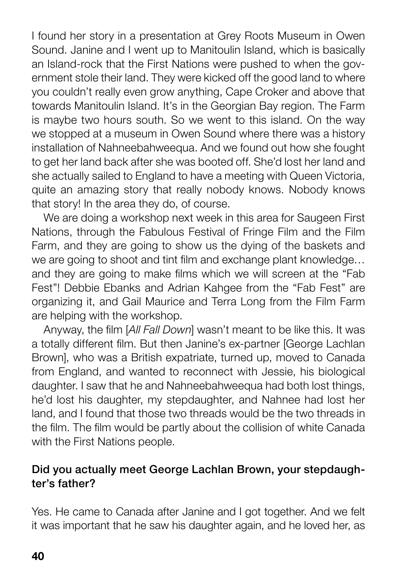I found her story in a presentation at Grey Roots Museum in Owen Sound. Janine and I went up to Manitoulin Island, which is basically an Island-rock that the First Nations were pushed to when the government stole their land. They were kicked off the good land to where you couldn't really even grow anything, Cape Croker and above that towards Manitoulin Island. It's in the Georgian Bay region. The Farm is maybe two hours south. So we went to this island. On the way we stopped at a museum in Owen Sound where there was a history installation of Nahneebahweequa. And we found out how she fought to get her land back after she was booted off. She'd lost her land and she actually sailed to England to have a meeting with Queen Victoria, quite an amazing story that really nobody knows. Nobody knows that story! In the area they do, of course.

We are doing a workshop next week in this area for Saugeen First Nations, through the Fabulous Festival of Fringe Film and the Film Farm, and they are going to show us the dying of the baskets and we are going to shoot and tint film and exchange plant knowledge… and they are going to make films which we will screen at the "Fab Fest"! Debbie Ebanks and Adrian Kahgee from the "Fab Fest" are organizing it, and Gail Maurice and Terra Long from the Film Farm are helping with the workshop.

Anyway, the film [All Fall Down] wasn't meant to be like this. It was a totally different film. But then Janine's ex-partner [George Lachlan Brown], who was a British expatriate, turned up, moved to Canada from England, and wanted to reconnect with Jessie, his biological daughter. I saw that he and Nahneebahweequa had both lost things, he'd lost his daughter, my stepdaughter, and Nahnee had lost her land, and I found that those two threads would be the two threads in the film. The film would be partly about the collision of white Canada with the First Nations people.

#### Did you actually meet George Lachlan Brown, your stepdaughter's father?

Yes. He came to Canada after Janine and I got together. And we felt it was important that he saw his daughter again, and he loved her, as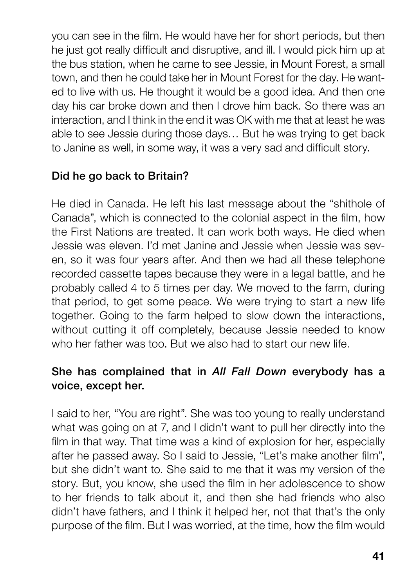you can see in the film. He would have her for short periods, but then he just got really difficult and disruptive, and ill. I would pick him up at the bus station, when he came to see Jessie, in Mount Forest, a small town, and then he could take her in Mount Forest for the day. He wanted to live with us. He thought it would be a good idea. And then one day his car broke down and then I drove him back. So there was an interaction, and I think in the end it was OK with me that at least he was able to see Jessie during those days… But he was trying to get back to Janine as well, in some way, it was a very sad and difficult story.

# Did he go back to Britain?

He died in Canada. He left his last message about the "shithole of Canada", which is connected to the colonial aspect in the film, how the First Nations are treated. It can work both ways. He died when Jessie was eleven. I'd met Janine and Jessie when Jessie was seven, so it was four years after. And then we had all these telephone recorded cassette tapes because they were in a legal battle, and he probably called 4 to 5 times per day. We moved to the farm, during that period, to get some peace. We were trying to start a new life together. Going to the farm helped to slow down the interactions, without cutting it off completely, because Jessie needed to know who her father was too. But we also had to start our new life.

# She has complained that in All Fall Down everybody has a voice, except her.

I said to her, "You are right". She was too young to really understand what was going on at 7, and I didn't want to pull her directly into the film in that way. That time was a kind of explosion for her, especially after he passed away. So I said to Jessie, "Let's make another film", but she didn't want to. She said to me that it was my version of the story. But, you know, she used the film in her adolescence to show to her friends to talk about it, and then she had friends who also didn't have fathers, and I think it helped her, not that that's the only purpose of the film. But I was worried, at the time, how the film would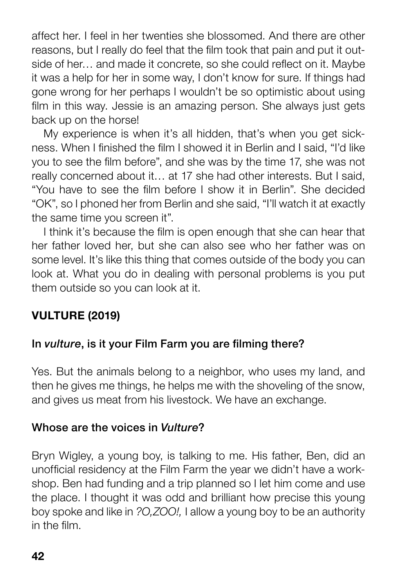affect her. I feel in her twenties she blossomed. And there are other reasons, but I really do feel that the film took that pain and put it outside of her… and made it concrete, so she could reflect on it. Maybe it was a help for her in some way, I don't know for sure. If things had gone wrong for her perhaps I wouldn't be so optimistic about using film in this way. Jessie is an amazing person. She always just gets back up on the horse!

My experience is when it's all hidden, that's when you get sickness. When I finished the film I showed it in Berlin and I said, "I'd like you to see the film before", and she was by the time 17, she was not really concerned about it… at 17 she had other interests. But I said, "You have to see the film before I show it in Berlin". She decided "OK", so I phoned her from Berlin and she said, "I'll watch it at exactly the same time you screen it".

I think it's because the film is open enough that she can hear that her father loved her, but she can also see who her father was on some level. It's like this thing that comes outside of the body you can look at. What you do in dealing with personal problems is you put them outside so you can look at it.

# VULTURE (2019)

#### In vulture, is it your Film Farm you are filming there?

Yes. But the animals belong to a neighbor, who uses my land, and then he gives me things, he helps me with the shoveling of the snow, and gives us meat from his livestock. We have an exchange.

#### Whose are the voices in Vulture?

Bryn Wigley, a young boy, is talking to me. His father, Ben, did an unofficial residency at the Film Farm the year we didn't have a workshop. Ben had funding and a trip planned so I let him come and use the place. I thought it was odd and brilliant how precise this young boy spoke and like in ?O,ZOO!, I allow a young boy to be an authority in the film.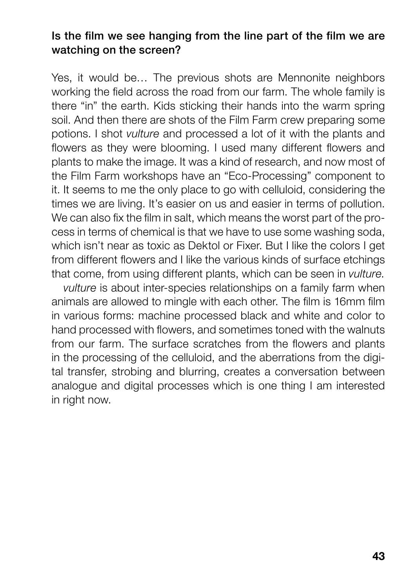#### Is the film we see hanging from the line part of the film we are watching on the screen?

Yes, it would be… The previous shots are Mennonite neighbors working the field across the road from our farm. The whole family is there "in" the earth. Kids sticking their hands into the warm spring soil. And then there are shots of the Film Farm crew preparing some potions. I shot vulture and processed a lot of it with the plants and flowers as they were blooming. I used many different flowers and plants to make the image. It was a kind of research, and now most of the Film Farm workshops have an "Eco-Processing" component to it. It seems to me the only place to go with celluloid, considering the times we are living. It's easier on us and easier in terms of pollution. We can also fix the film in salt, which means the worst part of the process in terms of chemical is that we have to use some washing soda, which isn't near as toxic as Dektol or Fixer. But I like the colors I get from different flowers and I like the various kinds of surface etchings that come, from using different plants, which can be seen in vulture.

vulture is about inter-species relationships on a family farm when animals are allowed to mingle with each other. The film is 16mm film in various forms: machine processed black and white and color to hand processed with flowers, and sometimes toned with the walnuts from our farm. The surface scratches from the flowers and plants in the processing of the celluloid, and the aberrations from the digital transfer, strobing and blurring, creates a conversation between analogue and digital processes which is one thing I am interested in right now.